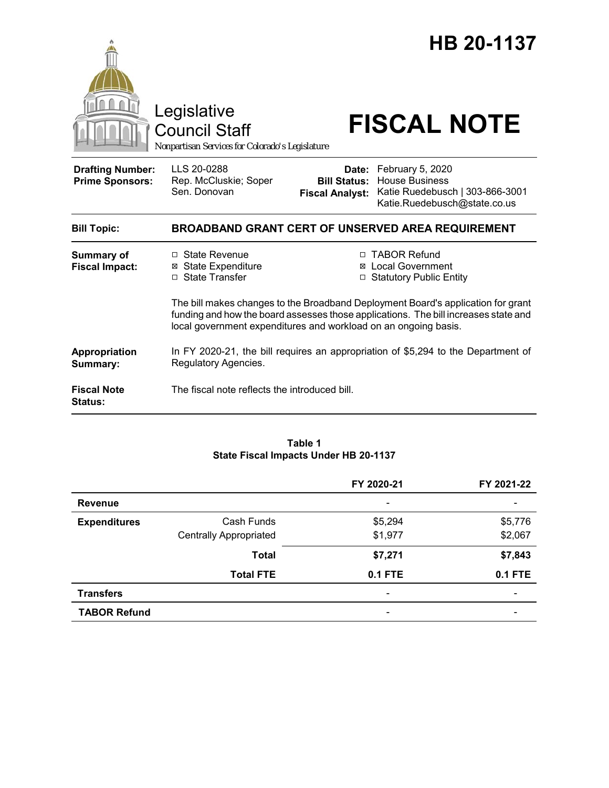

#### **Table 1 State Fiscal Impacts Under HB 20-1137**

|                     |                               | FY 2020-21                   | FY 2021-22               |
|---------------------|-------------------------------|------------------------------|--------------------------|
| <b>Revenue</b>      |                               | $\qquad \qquad \blacksquare$ | -                        |
| <b>Expenditures</b> | Cash Funds                    | \$5,294                      | \$5,776                  |
|                     | <b>Centrally Appropriated</b> | \$1,977                      | \$2,067                  |
|                     | <b>Total</b>                  | \$7,271                      | \$7,843                  |
|                     | <b>Total FTE</b>              | <b>0.1 FTE</b>               | <b>0.1 FTE</b>           |
| <b>Transfers</b>    |                               | $\overline{\phantom{0}}$     | $\overline{\phantom{0}}$ |
| <b>TABOR Refund</b> |                               | $\overline{\phantom{0}}$     |                          |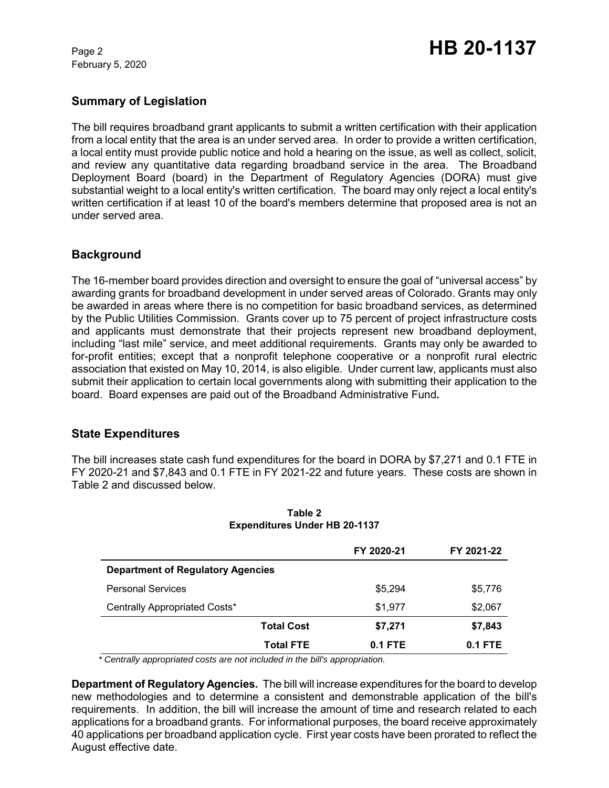February 5, 2020

# **Summary of Legislation**

The bill requires broadband grant applicants to submit a written certification with their application from a local entity that the area is an under served area. In order to provide a written certification, a local entity must provide public notice and hold a hearing on the issue, as well as collect, solicit, and review any quantitative data regarding broadband service in the area. The Broadband Deployment Board (board) in the Department of Regulatory Agencies (DORA) must give substantial weight to a local entity's written certification. The board may only reject a local entity's written certification if at least 10 of the board's members determine that proposed area is not an under served area.

### **Background**

The 16-member board provides direction and oversight to ensure the goal of "universal access" by awarding grants for broadband development in under served areas of Colorado. Grants may only be awarded in areas where there is no competition for basic broadband services, as determined by the Public Utilities Commission. Grants cover up to 75 percent of project infrastructure costs and applicants must demonstrate that their projects represent new broadband deployment, including "last mile" service, and meet additional requirements. Grants may only be awarded to for-profit entities; except that a nonprofit telephone cooperative or a nonprofit rural electric association that existed on May 10, 2014, is also eligible. Under current law, applicants must also submit their application to certain local governments along with submitting their application to the board. Board expenses are paid out of the Broadband Administrative Fund**.** 

## **State Expenditures**

The bill increases state cash fund expenditures for the board in DORA by \$7,271 and 0.1 FTE in FY 2020-21 and \$7,843 and 0.1 FTE in FY 2021-22 and future years. These costs are shown in Table 2 and discussed below.

|                                          |                   | FY 2020-21 | FY 2021-22 |
|------------------------------------------|-------------------|------------|------------|
| <b>Department of Regulatory Agencies</b> |                   |            |            |
| <b>Personal Services</b>                 |                   | \$5,294    | \$5,776    |
| Centrally Appropriated Costs*            |                   | \$1,977    | \$2,067    |
|                                          | <b>Total Cost</b> | \$7,271    | \$7,843    |
|                                          | <b>Total FTE</b>  | 0.1 FTE    | 0.1 FTE    |

#### **Table 2 Expenditures Under HB 20-1137**

 *\* Centrally appropriated costs are not included in the bill's appropriation.*

**Department of Regulatory Agencies.** The bill will increase expenditures for the board to develop new methodologies and to determine a consistent and demonstrable application of the bill's requirements. In addition, the bill will increase the amount of time and research related to each applications for a broadband grants. For informational purposes, the board receive approximately 40 applications per broadband application cycle. First year costs have been prorated to reflect the August effective date.